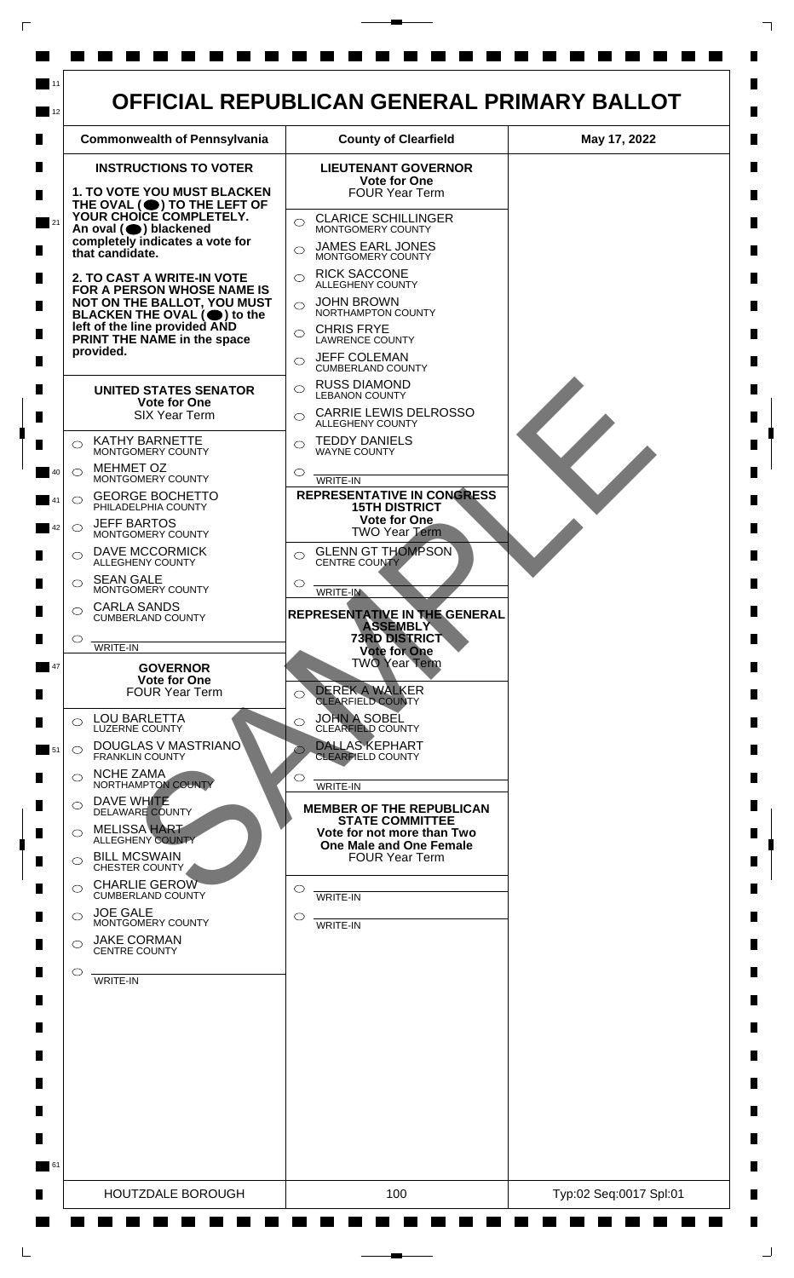

 $\mathsf{L}$ 

 $\Box$